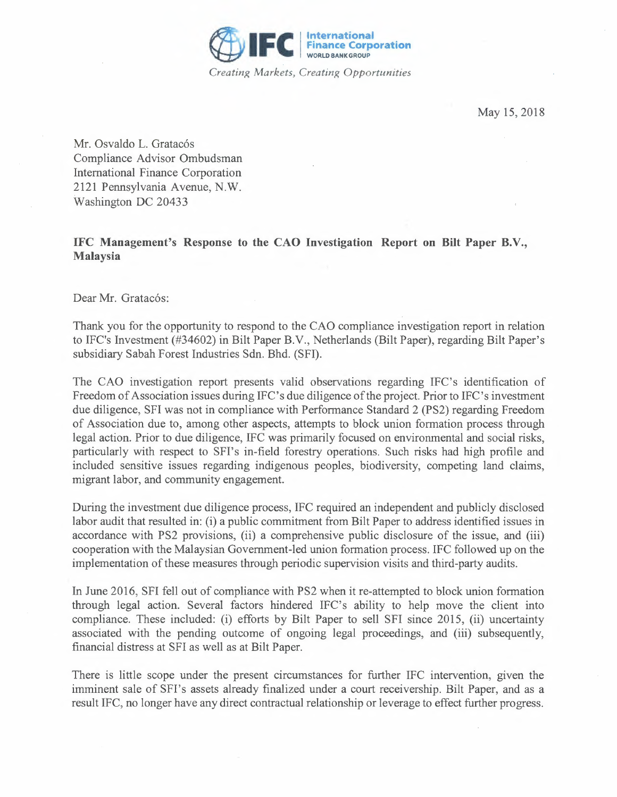

May 15, 2018

Mr. Osvaldo L. Gratacós Compliance Advisor Ombudsman International Finance Corporation 2121 Pennsylvania Avenue, N.W. Washington DC 20433

## **IFC Management's Response to the CAO Investigation Report on Bilt Paper B.V., Malaysia**

Dear Mr. Gratacós:

Thank you for the opportunity to respond to the CAO compliance investigation report in relation to IFC's Investment (#34602) in Bilt Paper B.V., Netherlands (Bilt Paper), regarding Bilt Paper's subsidiary Sabah Forest Industries Sdn. Bhd. (SFI).

The CAO investigation report presents valid observations regarding IFC's identification of Freedom of Association issues during IFC's due diligence of the project. Prior to IFC's investment due diligence, SFI was not in compliance with Performance Standard 2 (PS2) regarding Freedom of Association due to, among other aspects, attempts to block union formation process through legal action. Prior to due diligence, IFC was primarily focused on environmental and social risks, particularly with respect to SFI's in-field forestry operations. Such risks had high profile and included sensitive issues regarding indigenous peoples, biodiversity, competing land claims, migrant labor, and community engagement.

During the investment due diligence process, IFC required an independent and publicly disclosed labor audit that resulted in: (i) a public commitment from Bilt Paper to address identified issues in accordance with PS2 provisions, (ii) a comprehensive public disclosure of the issue, and (iii) cooperation with the Malaysian Government-led union formation process. IFC followed up on the implementation of these measures through periodic supervision visits and third-party audits.

In June 2016, SFI fell out of compliance with PS2 when it re-attempted to block union formation through legal action. Several factors hindered IFC's ability to help move the client into compliance. These included: (i) efforts by Bilt Paper to sell SFI since 2015, (ii) uncertainty associated with the pending outcome of ongoing legal proceedings, and (iii) subsequently, financial distress at SFI as well as at Bilt Paper.

There is little scope under the present circumstances for further IFC intervention, given the imminent sale of SFI's assets already finalized under a court receivership. Bilt Paper, and as a result IFC, no longer have any direct contractual relationship or leverage to effect further progress.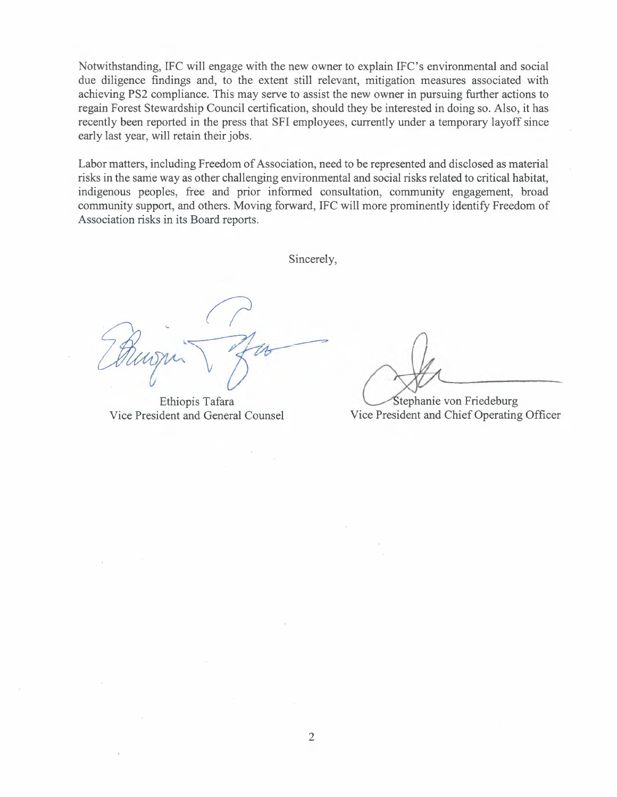Notwithstanding, IFC will engage with the new owner to explain IFC's environmental and social due diligence findings and, to the extent still relevant, mitigation measures associated with achieving PS2 compliance. This may serve to assist the new owner in pursuing further actions to regain Forest Stewardship Council certification, should they be interested in doing so. Also, it has recently been reported in the press that SFI employees, currently under a temporary layoff since early last year, will retain their jobs.

Labor matters, including Freedom of Association, need to be represented and disclosed as material risks in the same way as other challenging environmental and social risks related to critical habitat, indigenous peoples, free and prior informed consultation, community engagement, broad community support, and others. Moving forward, IFC will more prominently identify Freedom of Association risks in its Board reports.

Sincerely,

Ethiopis Tafara Vice President and General Counsel

Stephanie von Friedeburg Vice President and Chief Operating Officer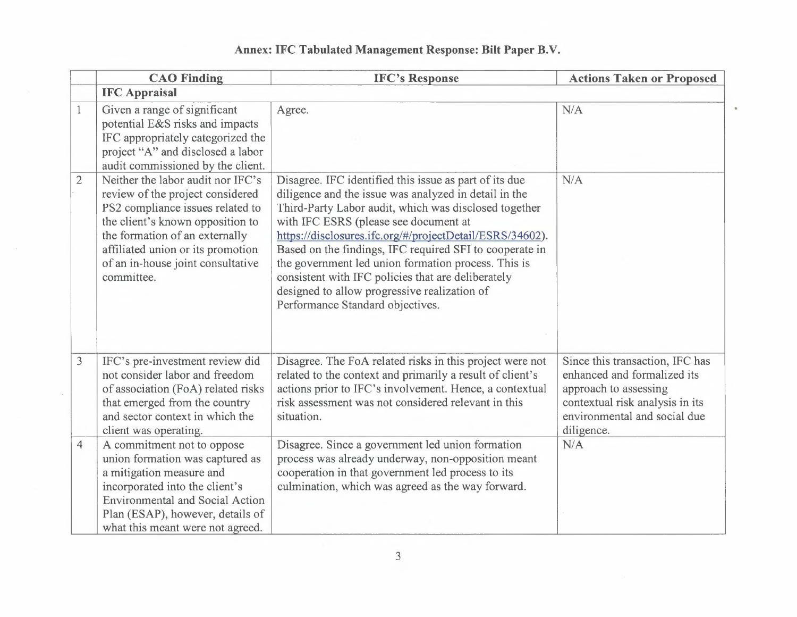|  | Annex: IFC Tabulated Management Response: Bilt Paper B.V. |  |  |
|--|-----------------------------------------------------------|--|--|
|  |                                                           |  |  |

 $\alpha$ 

|                | <b>CAO</b> Finding                                                                                                                                                                                                                                                      | <b>IFC's Response</b>                                                                                                                                                                                                                                                                                                                                                                                                                                                                                                                     | <b>Actions Taken or Proposed</b>                                                                                                                                         |
|----------------|-------------------------------------------------------------------------------------------------------------------------------------------------------------------------------------------------------------------------------------------------------------------------|-------------------------------------------------------------------------------------------------------------------------------------------------------------------------------------------------------------------------------------------------------------------------------------------------------------------------------------------------------------------------------------------------------------------------------------------------------------------------------------------------------------------------------------------|--------------------------------------------------------------------------------------------------------------------------------------------------------------------------|
|                | <b>IFC Appraisal</b>                                                                                                                                                                                                                                                    |                                                                                                                                                                                                                                                                                                                                                                                                                                                                                                                                           |                                                                                                                                                                          |
| $\mathbf{1}$   | Given a range of significant<br>potential E&S risks and impacts<br>IFC appropriately categorized the<br>project "A" and disclosed a labor<br>audit commissioned by the client.                                                                                          | Agree.                                                                                                                                                                                                                                                                                                                                                                                                                                                                                                                                    | N/A                                                                                                                                                                      |
| $\overline{2}$ | Neither the labor audit nor IFC's<br>review of the project considered<br>PS2 compliance issues related to<br>the client's known opposition to<br>the formation of an externally<br>affiliated union or its promotion<br>of an in-house joint consultative<br>committee. | Disagree. IFC identified this issue as part of its due<br>diligence and the issue was analyzed in detail in the<br>Third-Party Labor audit, which was disclosed together<br>with IFC ESRS (please see document at<br>https://disclosures.ifc.org/#/projectDetail/ESRS/34602).<br>Based on the findings, IFC required SFI to cooperate in<br>the government led union formation process. This is<br>consistent with IFC policies that are deliberately<br>designed to allow progressive realization of<br>Performance Standard objectives. | N/A                                                                                                                                                                      |
| $\overline{3}$ | IFC's pre-investment review did<br>not consider labor and freedom<br>of association (FoA) related risks<br>that emerged from the country<br>and sector context in which the<br>client was operating.                                                                    | Disagree. The FoA related risks in this project were not<br>related to the context and primarily a result of client's<br>actions prior to IFC's involvement. Hence, a contextual<br>risk assessment was not considered relevant in this<br>situation.                                                                                                                                                                                                                                                                                     | Since this transaction, IFC has<br>enhanced and formalized its<br>approach to assessing<br>contextual risk analysis in its<br>environmental and social due<br>diligence. |
| $\overline{4}$ | A commitment not to oppose<br>union formation was captured as<br>a mitigation measure and<br>incorporated into the client's<br><b>Environmental and Social Action</b><br>Plan (ESAP), however, details of<br>what this meant were not agreed.                           | Disagree. Since a government led union formation<br>process was already underway, non-opposition meant<br>cooperation in that government led process to its<br>culmination, which was agreed as the way forward.                                                                                                                                                                                                                                                                                                                          | N/A                                                                                                                                                                      |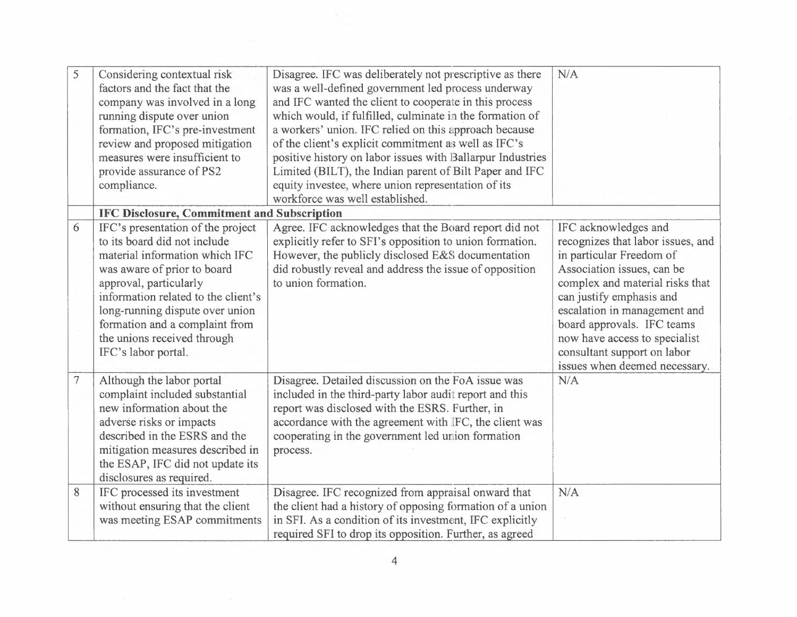| 5              | Considering contextual risk<br>factors and the fact that the<br>company was involved in a long<br>running dispute over union<br>formation, IFC's pre-investment<br>review and proposed mitigation<br>measures were insufficient to<br>provide assurance of PS2<br>compliance.                                                  | Disagree. IFC was deliberately not prescriptive as there<br>was a well-defined government led process underway<br>and IFC wanted the client to cooperate in this process<br>which would, if fulfilled, culminate in the formation of<br>a workers' union. IFC relied on this approach because<br>of the client's explicit commitment as well as IFC's<br>positive history on labor issues with Ballarpur Industries<br>Limited (BILT), the Indian parent of Bilt Paper and IFC<br>equity investee, where union representation of its<br>workforce was well established. | N/A                                                                                                                                                                                                                                                                                                                                               |  |
|----------------|--------------------------------------------------------------------------------------------------------------------------------------------------------------------------------------------------------------------------------------------------------------------------------------------------------------------------------|-------------------------------------------------------------------------------------------------------------------------------------------------------------------------------------------------------------------------------------------------------------------------------------------------------------------------------------------------------------------------------------------------------------------------------------------------------------------------------------------------------------------------------------------------------------------------|---------------------------------------------------------------------------------------------------------------------------------------------------------------------------------------------------------------------------------------------------------------------------------------------------------------------------------------------------|--|
|                |                                                                                                                                                                                                                                                                                                                                | IFC Disclosure, Commitment and Subscription                                                                                                                                                                                                                                                                                                                                                                                                                                                                                                                             |                                                                                                                                                                                                                                                                                                                                                   |  |
| 6              | IFC's presentation of the project<br>to its board did not include<br>material information which IFC<br>was aware of prior to board<br>approval, particularly<br>information related to the client's<br>long-running dispute over union<br>formation and a complaint from<br>the unions received through<br>IFC's labor portal. | Agree. IFC acknowledges that the Board report did not<br>explicitly refer to SFI's opposition to union formation.<br>However, the publicly disclosed E&S documentation<br>did robustly reveal and address the issue of opposition<br>to union formation.                                                                                                                                                                                                                                                                                                                | IFC acknowledges and<br>recognizes that labor issues, and<br>in particular Freedom of<br>Association issues, can be<br>complex and material risks that<br>can justify emphasis and<br>escalation in management and<br>board approvals. IFC teams<br>now have access to specialist<br>consultant support on labor<br>issues when deemed necessary. |  |
| $\overline{7}$ | Although the labor portal<br>complaint included substantial<br>new information about the<br>adverse risks or impacts<br>described in the ESRS and the<br>mitigation measures described in<br>the ESAP, IFC did not update its<br>disclosures as required.                                                                      | Disagree. Detailed discussion on the FoA issue was<br>included in the third-party labor audit report and this<br>report was disclosed with the ESRS. Further, in<br>accordance with the agreement with IFC, the client was<br>cooperating in the government led union formation<br>process.                                                                                                                                                                                                                                                                             | N/A                                                                                                                                                                                                                                                                                                                                               |  |
| 8              | IFC processed its investment<br>without ensuring that the client<br>was meeting ESAP commitments                                                                                                                                                                                                                               | Disagree. IFC recognized from appraisal onward that<br>the client had a history of opposing formation of a union<br>in SFI. As a condition of its investment, IFC explicitly<br>required SFI to drop its opposition. Further, as agreed                                                                                                                                                                                                                                                                                                                                 | N/A                                                                                                                                                                                                                                                                                                                                               |  |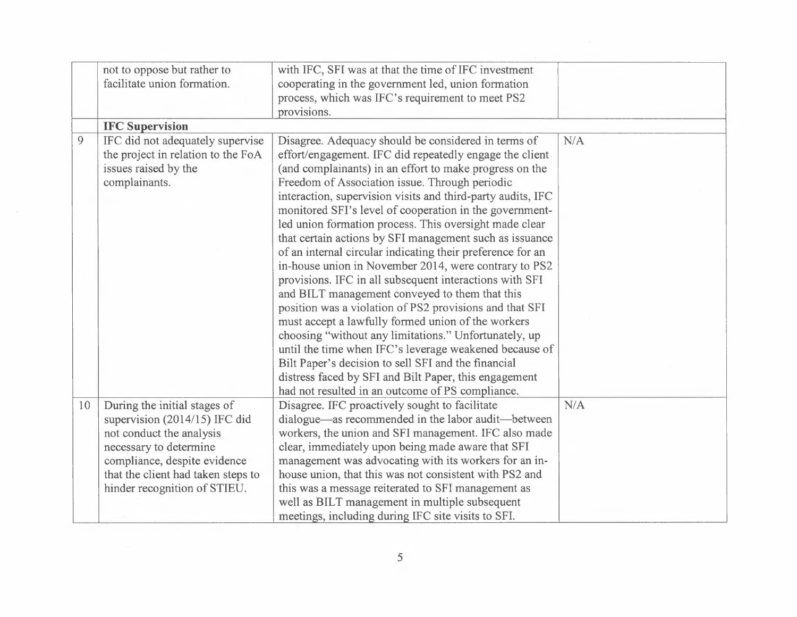|    | not to oppose but rather to<br>facilitate union formation.                                                                                                                                                                | with IFC, SFI was at that the time of IFC investment<br>cooperating in the government led, union formation<br>process, which was IFC's requirement to meet PS2<br>provisions.                                                                                                                                                                                                                                                                                                                                                                                                                                                                                                                                                                                                                                                   |     |
|----|---------------------------------------------------------------------------------------------------------------------------------------------------------------------------------------------------------------------------|---------------------------------------------------------------------------------------------------------------------------------------------------------------------------------------------------------------------------------------------------------------------------------------------------------------------------------------------------------------------------------------------------------------------------------------------------------------------------------------------------------------------------------------------------------------------------------------------------------------------------------------------------------------------------------------------------------------------------------------------------------------------------------------------------------------------------------|-----|
|    | <b>IFC Supervision</b>                                                                                                                                                                                                    |                                                                                                                                                                                                                                                                                                                                                                                                                                                                                                                                                                                                                                                                                                                                                                                                                                 |     |
| 9  | IFC did not adequately supervise<br>the project in relation to the FoA<br>issues raised by the<br>complainants.                                                                                                           | Disagree. Adequacy should be considered in terms of<br>effort/engagement. IFC did repeatedly engage the client<br>(and complainants) in an effort to make progress on the<br>Freedom of Association issue. Through periodic<br>interaction, supervision visits and third-party audits, IFC<br>monitored SFI's level of cooperation in the government-<br>led union formation process. This oversight made clear<br>that certain actions by SFI management such as issuance<br>of an internal circular indicating their preference for an<br>in-house union in November 2014, were contrary to PS2<br>provisions. IFC in all subsequent interactions with SFI<br>and BILT management conveyed to them that this<br>position was a violation of PS2 provisions and that SFI<br>must accept a lawfully formed union of the workers | N/A |
|    |                                                                                                                                                                                                                           | choosing "without any limitations." Unfortunately, up<br>until the time when IFC's leverage weakened because of<br>Bilt Paper's decision to sell SFI and the financial<br>distress faced by SFI and Bilt Paper, this engagement<br>had not resulted in an outcome of PS compliance.                                                                                                                                                                                                                                                                                                                                                                                                                                                                                                                                             |     |
| 10 | During the initial stages of<br>supervision (2014/15) IFC did<br>not conduct the analysis<br>necessary to determine<br>compliance, despite evidence<br>that the client had taken steps to<br>hinder recognition of STIEU. | Disagree. IFC proactively sought to facilitate<br>dialogue—as recommended in the labor audit—between<br>workers, the union and SFI management. IFC also made<br>clear, immediately upon being made aware that SFI<br>management was advocating with its workers for an in-<br>house union, that this was not consistent with PS2 and<br>this was a message reiterated to SFI management as<br>well as BILT management in multiple subsequent<br>meetings, including during IFC site visits to SFI.                                                                                                                                                                                                                                                                                                                              | N/A |

**Contract Contract**